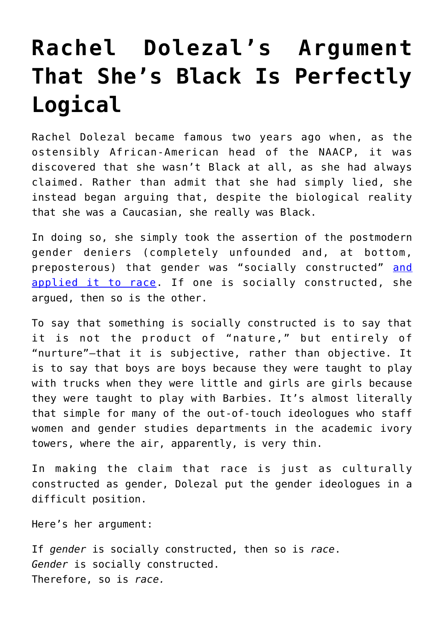## **[Rachel Dolezal's Argument](https://intellectualtakeout.org/2017/03/rachel-dolezals-argument-that-shes-black-is-perfectly-logical/) [That She's Black Is Perfectly](https://intellectualtakeout.org/2017/03/rachel-dolezals-argument-that-shes-black-is-perfectly-logical/) [Logical](https://intellectualtakeout.org/2017/03/rachel-dolezals-argument-that-shes-black-is-perfectly-logical/)**

Rachel Dolezal became famous two years ago when, as the ostensibly African-American head of the NAACP, it was discovered that she wasn't Black at all, as she had always claimed. Rather than admit that she had simply lied, she instead began arguing that, despite the biological reality that she was a Caucasian, she really was Black.

In doing so, she simply took the assertion of the postmodern gender deniers (completely unfounded and, at bottom, preposterous) that gender was "socially constructed" [and](http://www.dailymail.co.uk/video/news/video-1437415/Rachel-Dolezal-Race-isn-t-biological.html) [applied it to race.](http://www.dailymail.co.uk/video/news/video-1437415/Rachel-Dolezal-Race-isn-t-biological.html) If one is socially constructed, she argued, then so is the other.

To say that something is socially constructed is to say that it is not the product of "nature," but entirely of "nurture"—that it is subjective, rather than objective. It is to say that boys are boys because they were taught to play with trucks when they were little and girls are girls because they were taught to play with Barbies. It's almost literally that simple for many of the out-of-touch ideologues who staff women and gender studies departments in the academic ivory towers, where the air, apparently, is very thin.

In making the claim that race is just as culturally constructed as gender, Dolezal put the gender ideologues in a difficult position.

Here's her argument:

If *gender* is socially constructed, then so is *race*. *Gender* is socially constructed. Therefore, so is *race.*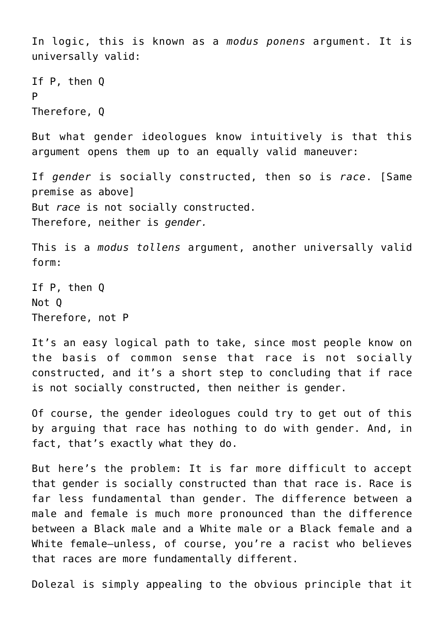```
In logic, this is known as a modus ponens argument. It is
universally valid:
If P, then Q
P
Therefore, Q
But what gender ideologues know intuitively is that this
argument opens them up to an equally valid maneuver:
If gender is socially constructed, then so is race. [Same
premise as above]
But race is not socially constructed.
Therefore, neither is gender.
This is a modus tollens argument, another universally valid
form:
If P, then Q
Not Q
Therefore, not P
```
It's an easy logical path to take, since most people know on the basis of common sense that race is not socially constructed, and it's a short step to concluding that if race is not socially constructed, then neither is gender.

Of course, the gender ideologues could try to get out of this by arguing that race has nothing to do with gender. And, in fact, that's exactly what they do.

But here's the problem: It is far more difficult to accept that gender is socially constructed than that race is. Race is far less fundamental than gender. The difference between a male and female is much more pronounced than the difference between a Black male and a White male or a Black female and a White female—unless, of course, you're a racist who believes that races are more fundamentally different.

Dolezal is simply appealing to the obvious principle that it